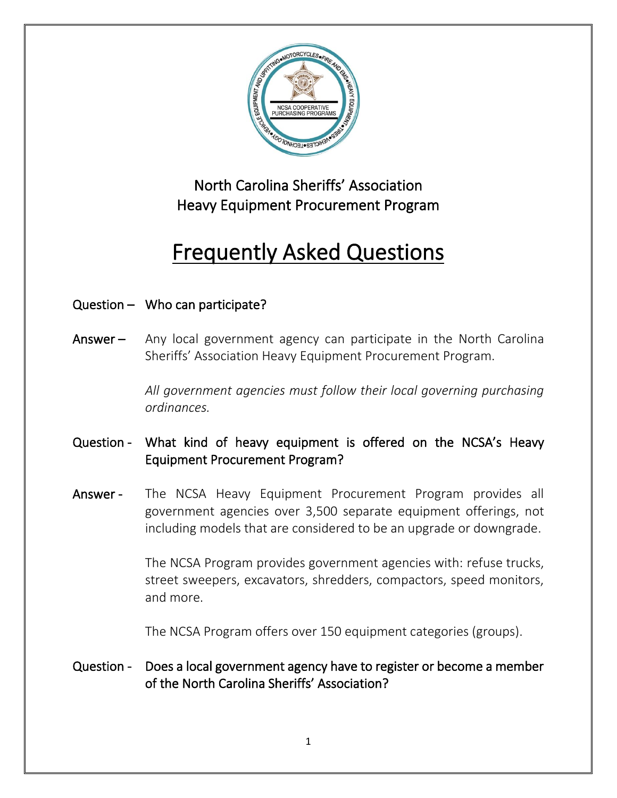

# North Carolina Sheriffs' Association Heavy Equipment Procurement Program

# Frequently Asked Questions

# Question – Who can participate?

Answer – Any local government agency can participate in the North Carolina Sheriffs' Association Heavy Equipment Procurement Program.

> *All government agencies must follow their local governing purchasing ordinances.*

# Question - What kind of heavy equipment is offered on the NCSA's Heavy Equipment Procurement Program?

Answer - The NCSA Heavy Equipment Procurement Program provides all government agencies over 3,500 separate equipment offerings, not including models that are considered to be an upgrade or downgrade.

> The NCSA Program provides government agencies with: refuse trucks, street sweepers, excavators, shredders, compactors, speed monitors, and more.

The NCSA Program offers over 150 equipment categories (groups).

#### Question - Does a local government agency have to register or become a member of the North Carolina Sheriffs' Association?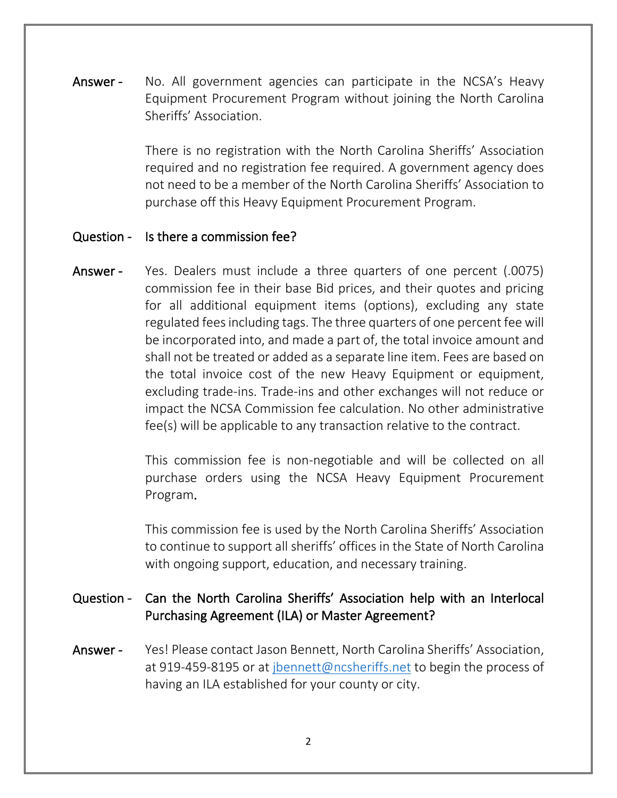Answer - No. All government agencies can participate in the NCSA's Heavy Equipment Procurement Program without joining the North Carolina Sheriffs' Association.

> There is no registration with the North Carolina Sheriffs' Association required and no registration fee required. A government agency does not need to be a member of the North Carolina Sheriffs' Association to purchase off this Heavy Equipment Procurement Program.

#### Question - Is there a commission fee?

Answer - Yes. Dealers must include a three quarters of one percent (.0075) commission fee in their base Bid prices, and their quotes and pricing for all additional equipment items (options), excluding any state regulated fees including tags. The three quarters of one percent fee will be incorporated into, and made a part of, the total invoice amount and shall not be treated or added as a separate line item. Fees are based on the total invoice cost of the new Heavy Equipment or equipment, excluding trade-ins. Trade-ins and other exchanges will not reduce or impact the NCSA Commission fee calculation. No other administrative fee(s) will be applicable to any transaction relative to the contract.

> This commission fee is non-negotiable and will be collected on all purchase orders using the NCSA Heavy Equipment Procurement Program.

> This commission fee is used by the North Carolina Sheriffs' Association to continue to support all sheriffs' offices in the State of North Carolina with ongoing support, education, and necessary training.

#### Question - Can the North Carolina Sheriffs' Association help with an Interlocal Purchasing Agreement (ILA) or Master Agreement?

Answer - Yes! Please contact Jason Bennett, North Carolina Sheriffs' Association, at 919-459-8195 or at [jbennett@ncsheriffs.net](mailto:jbennett@ncsheriffs.net) to begin the process of having an ILA established for your county or city.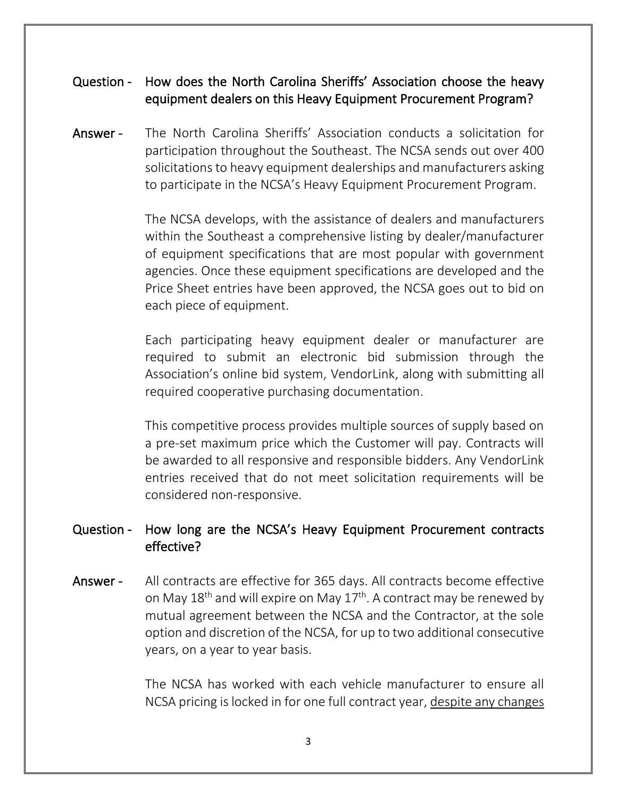#### Question - How does the North Carolina Sheriffs' Association choose the heavy equipment dealers on this Heavy Equipment Procurement Program?

Answer - The North Carolina Sheriffs' Association conducts a solicitation for participation throughout the Southeast. The NCSA sends out over 400 solicitations to heavy equipment dealerships and manufacturers asking to participate in the NCSA's Heavy Equipment Procurement Program.

> The NCSA develops, with the assistance of dealers and manufacturers within the Southeast a comprehensive listing by dealer/manufacturer of equipment specifications that are most popular with government agencies. Once these equipment specifications are developed and the Price Sheet entries have been approved, the NCSA goes out to bid on each piece of equipment.

> Each participating heavy equipment dealer or manufacturer are required to submit an electronic bid submission through the Association's online bid system, VendorLink, along with submitting all required cooperative purchasing documentation.

> This competitive process provides multiple sources of supply based on a pre-set maximum price which the Customer will pay. Contracts will be awarded to all responsive and responsible bidders. Any VendorLink entries received that do not meet solicitation requirements will be considered non-responsive.

#### Question - How long are the NCSA's Heavy Equipment Procurement contracts effective?

Answer - All contracts are effective for 365 days. All contracts become effective on May 18<sup>th</sup> and will expire on May 17<sup>th</sup>. A contract may be renewed by mutual agreement between the NCSA and the Contractor, at the sole option and discretion of the NCSA, for up to two additional consecutive years, on a year to year basis.

> The NCSA has worked with each vehicle manufacturer to ensure all NCSA pricing is locked in for one full contract year, despite any changes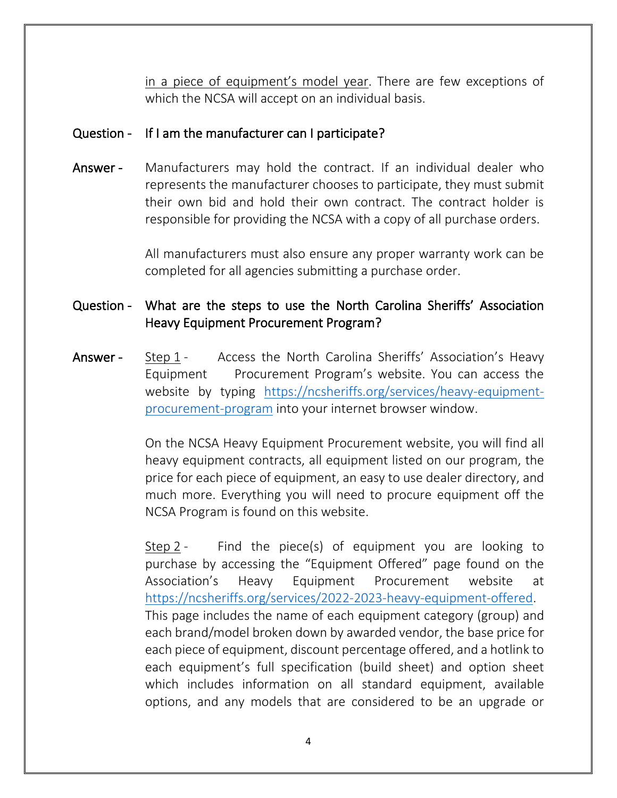in a piece of equipment's model year. There are few exceptions of which the NCSA will accept on an individual basis.

#### Question - If I am the manufacturer can I participate?

Answer - Manufacturers may hold the contract. If an individual dealer who represents the manufacturer chooses to participate, they must submit their own bid and hold their own contract. The contract holder is responsible for providing the NCSA with a copy of all purchase orders.

> All manufacturers must also ensure any proper warranty work can be completed for all agencies submitting a purchase order.

### Question - What are the steps to use the North Carolina Sheriffs' Association Heavy Equipment Procurement Program?

Answer - Step 1 - Access the North Carolina Sheriffs' Association's Heavy Equipment Procurement Program's website. You can access the website by typing [https://ncsheriffs.org/services/heavy-equipment](https://ncsheriffs.org/services/heavy-equipment-procurement-program)[procurement-program](https://ncsheriffs.org/services/heavy-equipment-procurement-program) into your internet browser window.

> On the NCSA Heavy Equipment Procurement website, you will find all heavy equipment contracts, all equipment listed on our program, the price for each piece of equipment, an easy to use dealer directory, and much more. Everything you will need to procure equipment off the NCSA Program is found on this website.

> Step 2 - Find the piece(s) of equipment you are looking to purchase by accessing the "Equipment Offered" page found on the Association's Heavy Equipment Procurement website at [https://ncsheriffs.org/services/2022-2023-heavy-equipment-offered.](https://ncsheriffs.org/services/2022-2023-heavy-equipment-offered) This page includes the name of each equipment category (group) and each brand/model broken down by awarded vendor, the base price for each piece of equipment, discount percentage offered, and a hotlink to each equipment's full specification (build sheet) and option sheet which includes information on all standard equipment, available options, and any models that are considered to be an upgrade or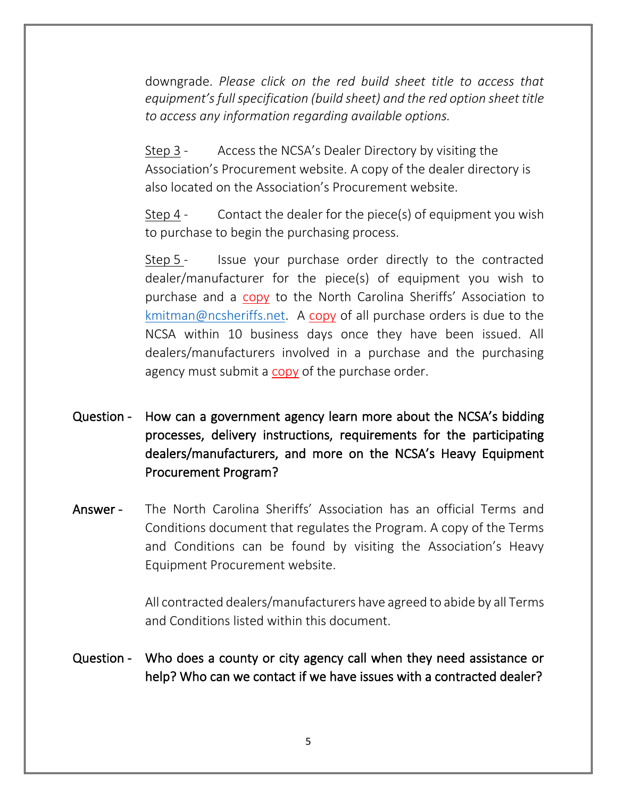downgrade. *Please click on the red build sheet title to access that equipment's full specification (build sheet) and the red option sheet title to access any information regarding available options.*

Step 3 - Access the NCSA's Dealer Directory by visiting the Association's Procurement website. A copy of the dealer directory is also located on the Association's Procurement website.

Step 4 - Contact the dealer for the piece(s) of equipment you wish to purchase to begin the purchasing process.

Step 5 - Issue your purchase order directly to the contracted dealer/manufacturer for the piece(s) of equipment you wish to purchase and a copy to the North Carolina Sheriffs' Association to [kmitman@ncsheriffs.net.](mailto:kmitman@ncsheriffs.net) A copy of all purchase orders is due to the NCSA within 10 business days once they have been issued. All dealers/manufacturers involved in a purchase and the purchasing agency must submit a copy of the purchase order.

- Question How can a government agency learn more about the NCSA's bidding processes, delivery instructions, requirements for the participating dealers/manufacturers, and more on the NCSA's Heavy Equipment Procurement Program?
- Answer The North Carolina Sheriffs' Association has an official Terms and Conditions document that regulates the Program. A copy of the Terms and Conditions can be found by visiting the Association's Heavy Equipment Procurement website.

All contracted dealers/manufacturers have agreed to abide by all Terms and Conditions listed within this document.

Question - Who does a county or city agency call when they need assistance or help? Who can we contact if we have issues with a contracted dealer?